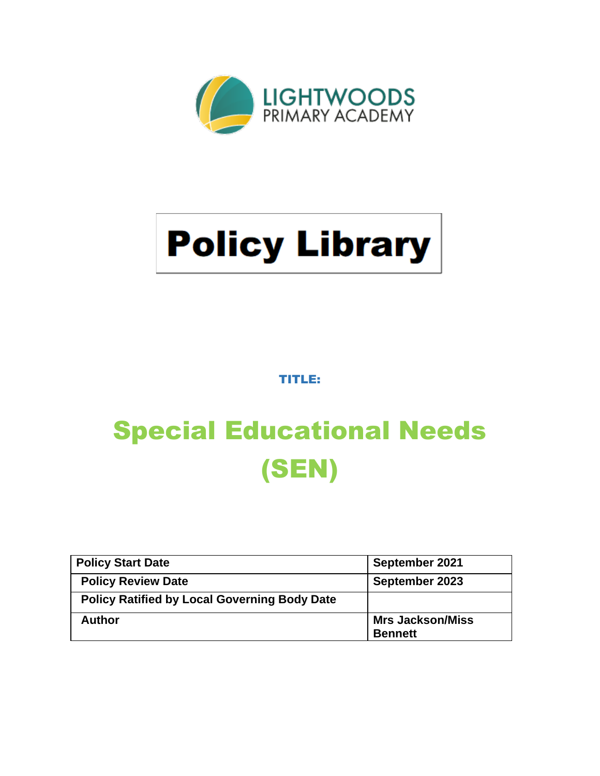

# **Policy Library**

TITLE:

# Special Educational Needs (SEN)

| <b>Policy Start Date</b>                            | September 2021                            |
|-----------------------------------------------------|-------------------------------------------|
| <b>Policy Review Date</b>                           | September 2023                            |
| <b>Policy Ratified by Local Governing Body Date</b> |                                           |
| <b>Author</b>                                       | <b>Mrs Jackson/Miss</b><br><b>Bennett</b> |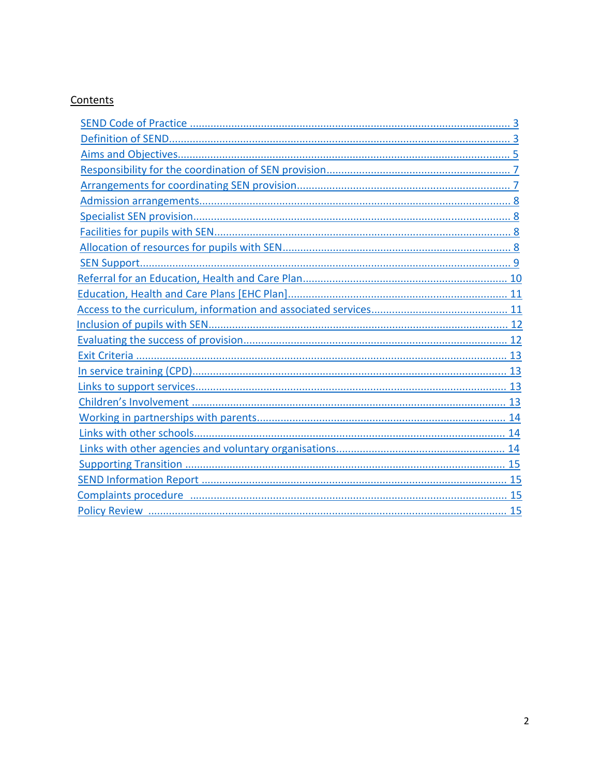# Contents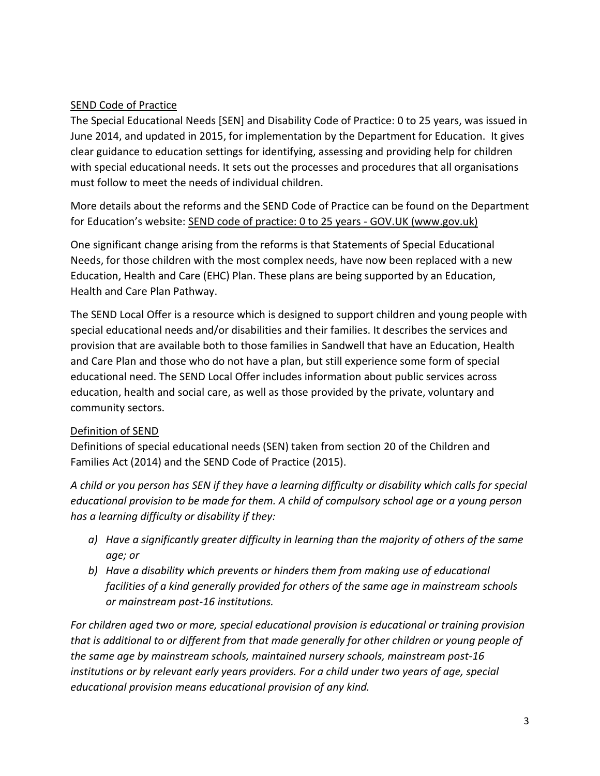# <span id="page-2-0"></span>SEND Code of Practice

The Special Educational Needs [SEN] and Disability Code of Practice: 0 to 25 years, was issued in June 2014, and updated in 2015, for implementation by the Department for Education. It gives clear guidance to education settings for identifying, assessing and providing help for children with special educational needs. It sets out the processes and procedures that all organisations must follow to meet the needs of individual children.

More details about the reforms and the SEND Code of Practice can be found on the Department for Education's website: [SEND code of practice: 0 to 25 years -](https://www.gov.uk/government/publications/send-code-of-practice-0-to-25) GOV.UK (www.gov.uk)

One significant change arising from the reforms is that Statements of Special Educational Needs, for those children with the most complex needs, have now been replaced with a new Education, Health and Care (EHC) Plan. These plans are being supported by an Education, Health and Care Plan Pathway.

The SEND Local Offer is a resource which is designed to support children and young people with special educational needs and/or disabilities and their families. It describes the services and provision that are available both to those families in Sandwell that have an Education, Health and Care Plan and those who do not have a plan, but still experience some form of special educational need. The SEND Local Offer includes information about public services across education, health and social care, as well as those provided by the private, voluntary and community sectors.

# Definition of SEND

Definitions of special educational needs (SEN) taken from section 20 of the Children and Families Act (2014) and the SEND Code of Practice (2015).

*A child or you person has SEN if they have a learning difficulty or disability which calls for special educational provision to be made for them. A child of compulsory school age or a young person has a learning difficulty or disability if they:*

- *a) Have a significantly greater difficulty in learning than the majority of others of the same age; or*
- *b) Have a disability which prevents or hinders them from making use of educational facilities of a kind generally provided for others of the same age in mainstream schools or mainstream post-16 institutions.*

*For children aged two or more, special educational provision is educational or training provision that is additional to or different from that made generally for other children or young people of the same age by mainstream schools, maintained nursery schools, mainstream post-16 institutions or by relevant early years providers. For a child under two years of age, special educational provision means educational provision of any kind.*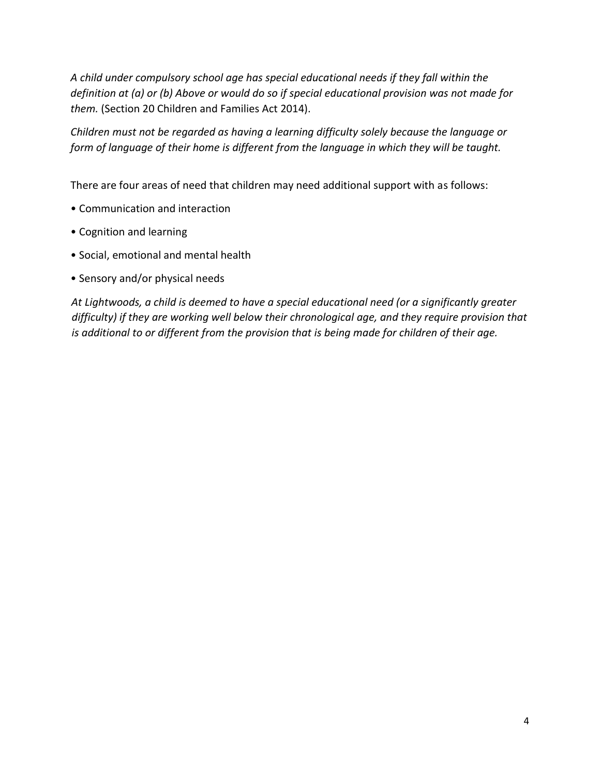*A child under compulsory school age has special educational needs if they fall within the definition at (a) or (b) Above or would do so if special educational provision was not made for them.* (Section 20 Children and Families Act 2014).

*Children must not be regarded as having a learning difficulty solely because the language or form of language of their home is different from the language in which they will be taught.*

There are four areas of need that children may need additional support with as follows:

- Communication and interaction
- Cognition and learning
- Social, emotional and mental health
- Sensory and/or physical needs

*At Lightwoods, a child is deemed to have a special educational need (or a significantly greater difficulty) if they are working well below their chronological age, and they require provision that is additional to or different from the provision that is being made for children of their age.*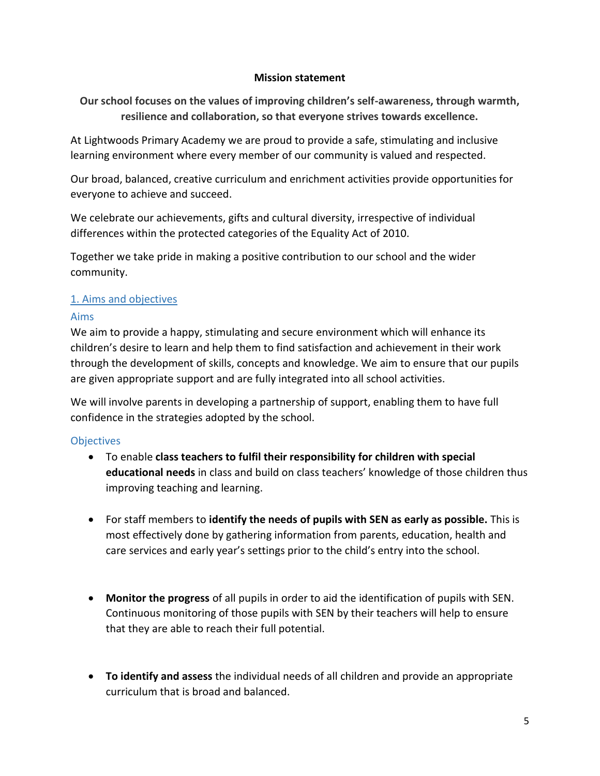#### **Mission statement**

**Our school focuses on the values of improving children's self-awareness, through warmth, resilience and collaboration, so that everyone strives towards excellence.** 

At Lightwoods Primary Academy we are proud to provide a safe, stimulating and inclusive learning environment where every member of our community is valued and respected.

Our broad, balanced, creative curriculum and enrichment activities provide opportunities for everyone to achieve and succeed.

We celebrate our achievements, gifts and cultural diversity, irrespective of individual differences within the protected categories of the Equality Act of 2010.

Together we take pride in making a positive contribution to our school and the wider community.

#### <span id="page-4-0"></span>1. Aims and objectives

#### Aims

We aim to provide a happy, stimulating and secure environment which will enhance its children's desire to learn and help them to find satisfaction and achievement in their work through the development of skills, concepts and knowledge. We aim to ensure that our pupils are given appropriate support and are fully integrated into all school activities.

We will involve parents in developing a partnership of support, enabling them to have full confidence in the strategies adopted by the school.

#### **Objectives**

- To enable **class teachers to fulfil their responsibility for children with special educational needs** in class and build on class teachers' knowledge of those children thus improving teaching and learning.
- For staff members to **identify the needs of pupils with SEN as early as possible.** This is most effectively done by gathering information from parents, education, health and care services and early year's settings prior to the child's entry into the school.
- **Monitor the progress** of all pupils in order to aid the identification of pupils with SEN. Continuous monitoring of those pupils with SEN by their teachers will help to ensure that they are able to reach their full potential.
- **To identify and assess** the individual needs of all children and provide an appropriate curriculum that is broad and balanced.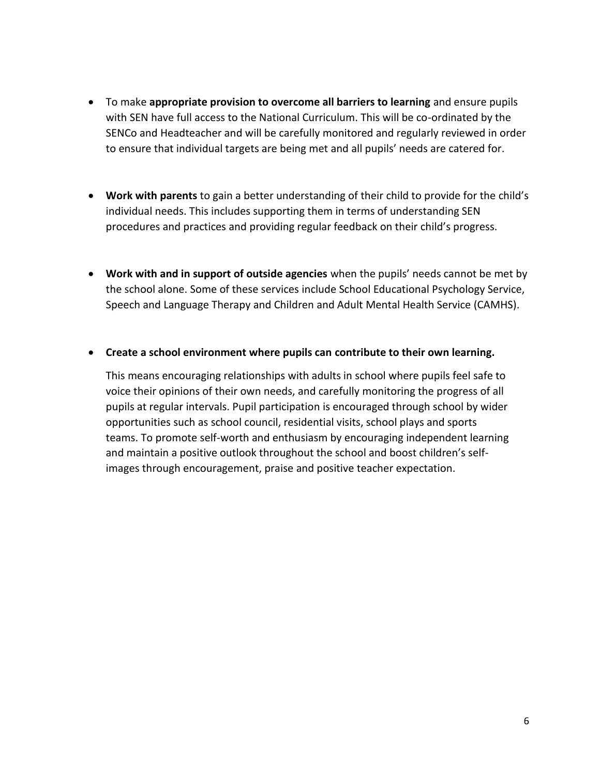- To make **appropriate provision to overcome all barriers to learning** and ensure pupils with SEN have full access to the National Curriculum. This will be co-ordinated by the SENCo and Headteacher and will be carefully monitored and regularly reviewed in order to ensure that individual targets are being met and all pupils' needs are catered for.
- **Work with parents** to gain a better understanding of their child to provide for the child's individual needs. This includes supporting them in terms of understanding SEN procedures and practices and providing regular feedback on their child's progress.
- **Work with and in support of outside agencies** when the pupils' needs cannot be met by the school alone. Some of these services include School Educational Psychology Service, Speech and Language Therapy and Children and Adult Mental Health Service (CAMHS).

#### • **Create a school environment where pupils can contribute to their own learning.**

This means encouraging relationships with adults in school where pupils feel safe to voice their opinions of their own needs, and carefully monitoring the progress of all pupils at regular intervals. Pupil participation is encouraged through school by wider opportunities such as school council, residential visits, school plays and sports teams. To promote self-worth and enthusiasm by encouraging independent learning and maintain a positive outlook throughout the school and boost children's selfimages through encouragement, praise and positive teacher expectation.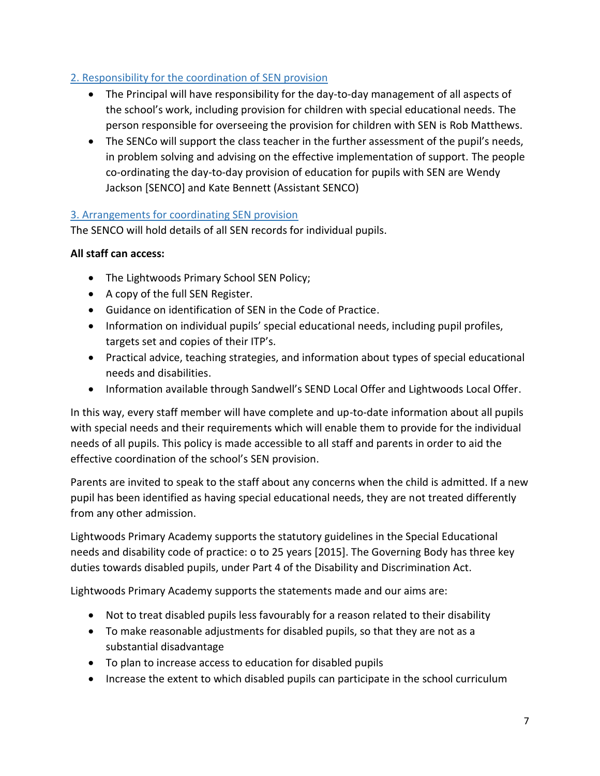# <span id="page-6-0"></span>2. Responsibility for the coordination of SEN provision

- The Principal will have responsibility for the day-to-day management of all aspects of the school's work, including provision for children with special educational needs. The person responsible for overseeing the provision for children with SEN is Rob Matthews.
- The SENCo will support the class teacher in the further assessment of the pupil's needs, in problem solving and advising on the effective implementation of support. The people co-ordinating the day-to-day provision of education for pupils with SEN are Wendy Jackson [SENCO] and Kate Bennett (Assistant SENCO)

# <span id="page-6-1"></span>3. Arrangements for coordinating SEN provision

The SENCO will hold details of all SEN records for individual pupils.

# **All staff can access:**

- The Lightwoods Primary School SEN Policy;
- A copy of the full SEN Register.
- Guidance on identification of SEN in the Code of Practice.
- Information on individual pupils' special educational needs, including pupil profiles, targets set and copies of their ITP's.
- Practical advice, teaching strategies, and information about types of special educational needs and disabilities.
- Information available through Sandwell's SEND Local Offer and Lightwoods Local Offer.

In this way, every staff member will have complete and up-to-date information about all pupils with special needs and their requirements which will enable them to provide for the individual needs of all pupils. This policy is made accessible to all staff and parents in order to aid the effective coordination of the school's SEN provision.

Parents are invited to speak to the staff about any concerns when the child is admitted. If a new pupil has been identified as having special educational needs, they are not treated differently from any other admission.

Lightwoods Primary Academy supports the statutory guidelines in the Special Educational needs and disability code of practice: o to 25 years [2015]. The Governing Body has three key duties towards disabled pupils, under Part 4 of the Disability and Discrimination Act.

Lightwoods Primary Academy supports the statements made and our aims are:

- Not to treat disabled pupils less favourably for a reason related to their disability
- To make reasonable adjustments for disabled pupils, so that they are not as a substantial disadvantage
- To plan to increase access to education for disabled pupils
- Increase the extent to which disabled pupils can participate in the school curriculum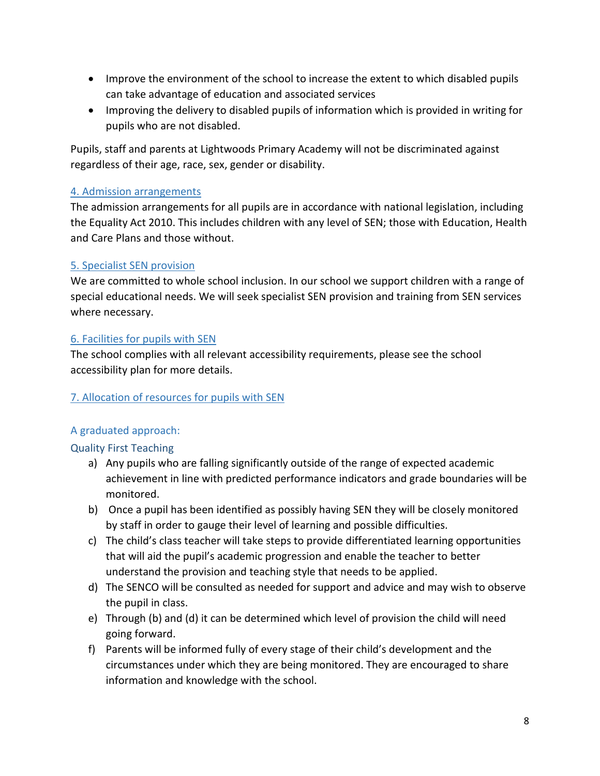- Improve the environment of the school to increase the extent to which disabled pupils can take advantage of education and associated services
- Improving the delivery to disabled pupils of information which is provided in writing for pupils who are not disabled.

Pupils, staff and parents at Lightwoods Primary Academy will not be discriminated against regardless of their age, race, sex, gender or disability.

#### <span id="page-7-0"></span>4. Admission arrangements

The admission arrangements for all pupils are in accordance with national legislation, including the Equality Act 2010. This includes children with any level of SEN; those with Education, Health and Care Plans and those without.

# <span id="page-7-1"></span>5. Specialist SEN provision

We are committed to whole school inclusion. In our school we support children with a range of special educational needs. We will seek specialist SEN provision and training from SEN services where necessary.

# <span id="page-7-2"></span>6. Facilities for pupils with SEN

The school complies with all relevant accessibility requirements, please see the school accessibility plan for more details.

#### <span id="page-7-3"></span>7. Allocation of resources for pupils with SEN

# A graduated approach:

# Quality First Teaching

- a) Any pupils who are falling significantly outside of the range of expected academic achievement in line with predicted performance indicators and grade boundaries will be monitored.
- b) Once a pupil has been identified as possibly having SEN they will be closely monitored by staff in order to gauge their level of learning and possible difficulties.
- c) The child's class teacher will take steps to provide differentiated learning opportunities that will aid the pupil's academic progression and enable the teacher to better understand the provision and teaching style that needs to be applied.
- d) The SENCO will be consulted as needed for support and advice and may wish to observe the pupil in class.
- e) Through (b) and (d) it can be determined which level of provision the child will need going forward.
- f) Parents will be informed fully of every stage of their child's development and the circumstances under which they are being monitored. They are encouraged to share information and knowledge with the school.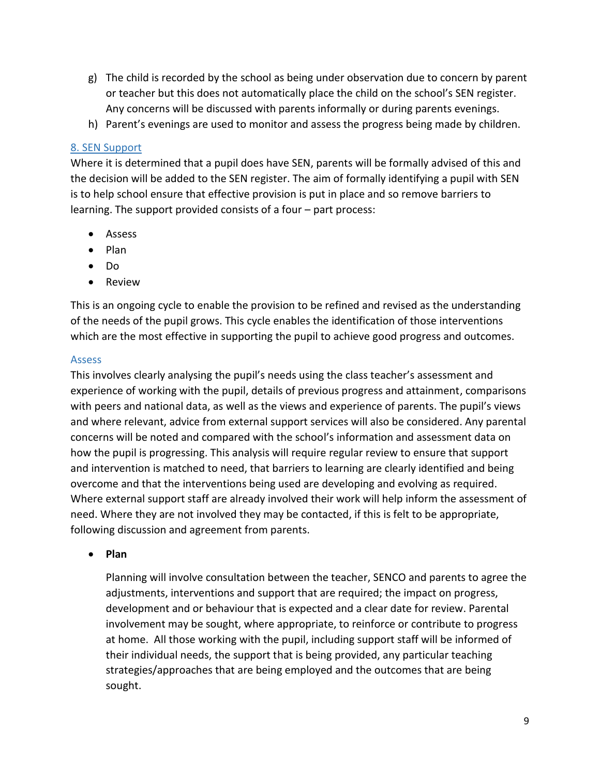- g) The child is recorded by the school as being under observation due to concern by parent or teacher but this does not automatically place the child on the school's SEN register. Any concerns will be discussed with parents informally or during parents evenings.
- h) Parent's evenings are used to monitor and assess the progress being made by children.

#### <span id="page-8-0"></span>8. SEN Support

Where it is determined that a pupil does have SEN, parents will be formally advised of this and the decision will be added to the SEN register. The aim of formally identifying a pupil with SEN is to help school ensure that effective provision is put in place and so remove barriers to learning. The support provided consists of a four – part process:

- Assess
- Plan
- Do
- Review

This is an ongoing cycle to enable the provision to be refined and revised as the understanding of the needs of the pupil grows. This cycle enables the identification of those interventions which are the most effective in supporting the pupil to achieve good progress and outcomes.

#### Assess

This involves clearly analysing the pupil's needs using the class teacher's assessment and experience of working with the pupil, details of previous progress and attainment, comparisons with peers and national data, as well as the views and experience of parents. The pupil's views and where relevant, advice from external support services will also be considered. Any parental concerns will be noted and compared with the school's information and assessment data on how the pupil is progressing. This analysis will require regular review to ensure that support and intervention is matched to need, that barriers to learning are clearly identified and being overcome and that the interventions being used are developing and evolving as required. Where external support staff are already involved their work will help inform the assessment of need. Where they are not involved they may be contacted, if this is felt to be appropriate, following discussion and agreement from parents.

• **Plan** 

Planning will involve consultation between the teacher, SENCO and parents to agree the adjustments, interventions and support that are required; the impact on progress, development and or behaviour that is expected and a clear date for review. Parental involvement may be sought, where appropriate, to reinforce or contribute to progress at home. All those working with the pupil, including support staff will be informed of their individual needs, the support that is being provided, any particular teaching strategies/approaches that are being employed and the outcomes that are being sought.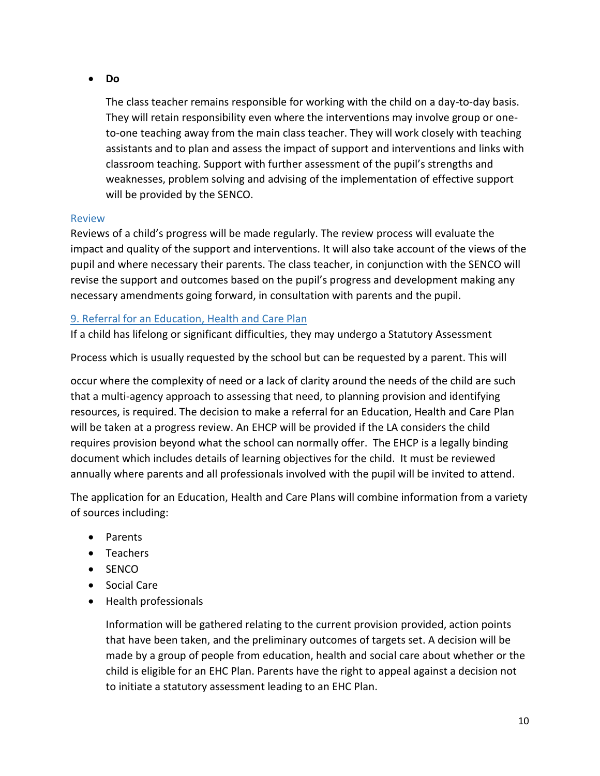#### • **Do**

The class teacher remains responsible for working with the child on a day-to-day basis. They will retain responsibility even where the interventions may involve group or oneto-one teaching away from the main class teacher. They will work closely with teaching assistants and to plan and assess the impact of support and interventions and links with classroom teaching. Support with further assessment of the pupil's strengths and weaknesses, problem solving and advising of the implementation of effective support will be provided by the SENCO.

#### Review

Reviews of a child's progress will be made regularly. The review process will evaluate the impact and quality of the support and interventions. It will also take account of the views of the pupil and where necessary their parents. The class teacher, in conjunction with the SENCO will revise the support and outcomes based on the pupil's progress and development making any necessary amendments going forward, in consultation with parents and the pupil.

#### <span id="page-9-0"></span>9. Referral for an Education, Health and Care Plan

If a child has lifelong or significant difficulties, they may undergo a Statutory Assessment

Process which is usually requested by the school but can be requested by a parent. This will

occur where the complexity of need or a lack of clarity around the needs of the child are such that a multi-agency approach to assessing that need, to planning provision and identifying resources, is required. The decision to make a referral for an Education, Health and Care Plan will be taken at a progress review. An EHCP will be provided if the LA considers the child requires provision beyond what the school can normally offer. The EHCP is a legally binding document which includes details of learning objectives for the child. It must be reviewed annually where parents and all professionals involved with the pupil will be invited to attend.

The application for an Education, Health and Care Plans will combine information from a variety of sources including:

- Parents
- Teachers
- SENCO
- Social Care
- Health professionals

Information will be gathered relating to the current provision provided, action points that have been taken, and the preliminary outcomes of targets set. A decision will be made by a group of people from education, health and social care about whether or the child is eligible for an EHC Plan. Parents have the right to appeal against a decision not to initiate a statutory assessment leading to an EHC Plan.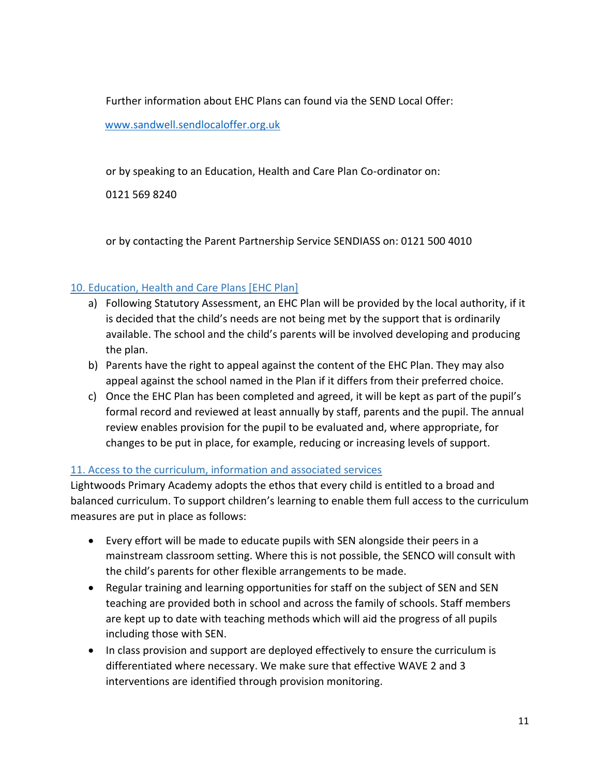Further information about EHC Plans can found via the SEND Local Offer:

[www.sandwell.sendlocaloffer.org.uk](http://www.sandwell.sendlocaloffer.org.uk/)

or by speaking to an Education, Health and Care Plan Co-ordinator on:

0121 569 8240

or by contacting the Parent Partnership Service SENDIASS on: 0121 500 4010

# <span id="page-10-0"></span>10. Education, Health and Care Plans [EHC Plan]

- a) Following Statutory Assessment, an EHC Plan will be provided by the local authority, if it is decided that the child's needs are not being met by the support that is ordinarily available. The school and the child's parents will be involved developing and producing the plan.
- b) Parents have the right to appeal against the content of the EHC Plan. They may also appeal against the school named in the Plan if it differs from their preferred choice.
- c) Once the EHC Plan has been completed and agreed, it will be kept as part of the pupil's formal record and reviewed at least annually by staff, parents and the pupil. The annual review enables provision for the pupil to be evaluated and, where appropriate, for changes to be put in place, for example, reducing or increasing levels of support.

# <span id="page-10-1"></span>11. Access to the curriculum, information and associated services

Lightwoods Primary Academy adopts the ethos that every child is entitled to a broad and balanced curriculum. To support children's learning to enable them full access to the curriculum measures are put in place as follows:

- Every effort will be made to educate pupils with SEN alongside their peers in a mainstream classroom setting. Where this is not possible, the SENCO will consult with the child's parents for other flexible arrangements to be made.
- Regular training and learning opportunities for staff on the subject of SEN and SEN teaching are provided both in school and across the family of schools. Staff members are kept up to date with teaching methods which will aid the progress of all pupils including those with SEN.
- In class provision and support are deployed effectively to ensure the curriculum is differentiated where necessary. We make sure that effective WAVE 2 and 3 interventions are identified through provision monitoring.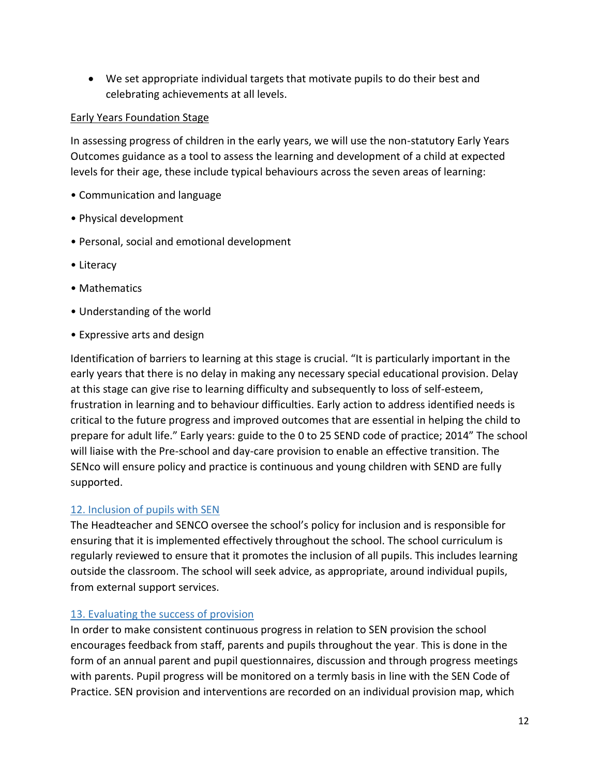• We set appropriate individual targets that motivate pupils to do their best and celebrating achievements at all levels.

#### Early Years Foundation Stage

In assessing progress of children in the early years, we will use the non-statutory Early Years Outcomes guidance as a tool to assess the learning and development of a child at expected levels for their age, these include typical behaviours across the seven areas of learning:

- Communication and language
- Physical development
- Personal, social and emotional development
- Literacy
- Mathematics
- Understanding of the world
- Expressive arts and design

Identification of barriers to learning at this stage is crucial. "It is particularly important in the early years that there is no delay in making any necessary special educational provision. Delay at this stage can give rise to learning difficulty and subsequently to loss of self-esteem, frustration in learning and to behaviour difficulties. Early action to address identified needs is critical to the future progress and improved outcomes that are essential in helping the child to prepare for adult life." Early years: guide to the 0 to 25 SEND code of practice; 2014" The school will liaise with the Pre-school and day-care provision to enable an effective transition. The SENco will ensure policy and practice is continuous and young children with SEND are fully supported.

#### <span id="page-11-0"></span>12. Inclusion of pupils with SEN

The Headteacher and SENCO oversee the school's policy for inclusion and is responsible for ensuring that it is implemented effectively throughout the school. The school curriculum is regularly reviewed to ensure that it promotes the inclusion of all pupils. This includes learning outside the classroom. The school will seek advice, as appropriate, around individual pupils, from external support services.

#### <span id="page-11-1"></span>13. Evaluating the success of provision

In order to make consistent continuous progress in relation to SEN provision the school encourages feedback from staff, parents and pupils throughout the year. This is done in the form of an annual parent and pupil questionnaires, discussion and through progress meetings with parents. Pupil progress will be monitored on a termly basis in line with the SEN Code of Practice. SEN provision and interventions are recorded on an individual provision map, which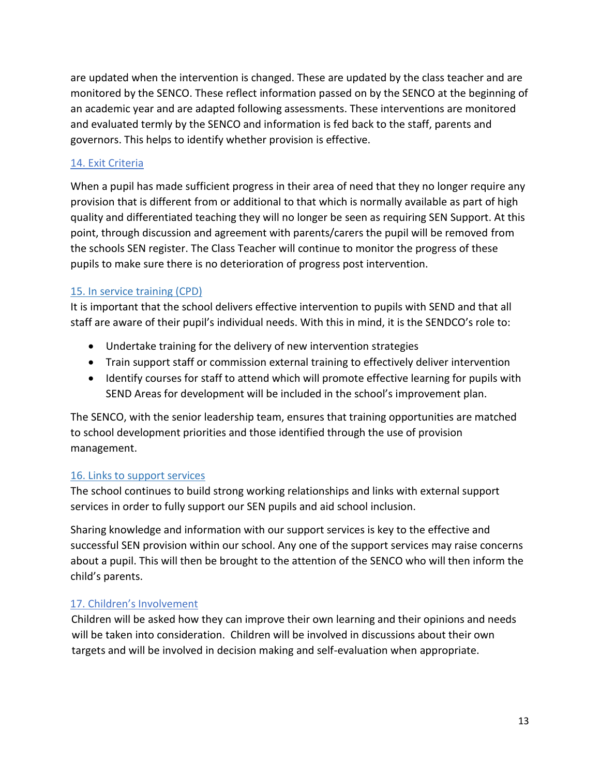are updated when the intervention is changed. These are updated by the class teacher and are monitored by the SENCO. These reflect information passed on by the SENCO at the beginning of an academic year and are adapted following assessments. These interventions are monitored and evaluated termly by the SENCO and information is fed back to the staff, parents and governors. This helps to identify whether provision is effective.

#### 14. Exit Criteria

When a pupil has made sufficient progress in their area of need that they no longer require any provision that is different from or additional to that which is normally available as part of high quality and differentiated teaching they will no longer be seen as requiring SEN Support. At this point, through discussion and agreement with parents/carers the pupil will be removed from the schools SEN register. The Class Teacher will continue to monitor the progress of these pupils to make sure there is no deterioration of progress post intervention.

#### <span id="page-12-0"></span>15. In service training (CPD)

It is important that the school delivers effective intervention to pupils with SEND and that all staff are aware of their pupil's individual needs. With this in mind, it is the SENDCO's role to:

- Undertake training for the delivery of new intervention strategies
- Train support staff or commission external training to effectively deliver intervention
- Identify courses for staff to attend which will promote effective learning for pupils with SEND Areas for development will be included in the school's improvement plan.

The SENCO, with the senior leadership team, ensures that training opportunities are matched to school development priorities and those identified through the use of provision management.

#### <span id="page-12-1"></span>16. Links to support services

The school continues to build strong working relationships and links with external support services in order to fully support our SEN pupils and aid school inclusion.

Sharing knowledge and information with our support services is key to the effective and successful SEN provision within our school. Any one of the support services may raise concerns about a pupil. This will then be brought to the attention of the SENCO who will then inform the child's parents.

#### <span id="page-12-2"></span>17. Children's Involvement

Children will be asked how they can improve their own learning and their opinions and needs will be taken into consideration. Children will be involved in discussions about their own targets and will be involved in decision making and self-evaluation when appropriate.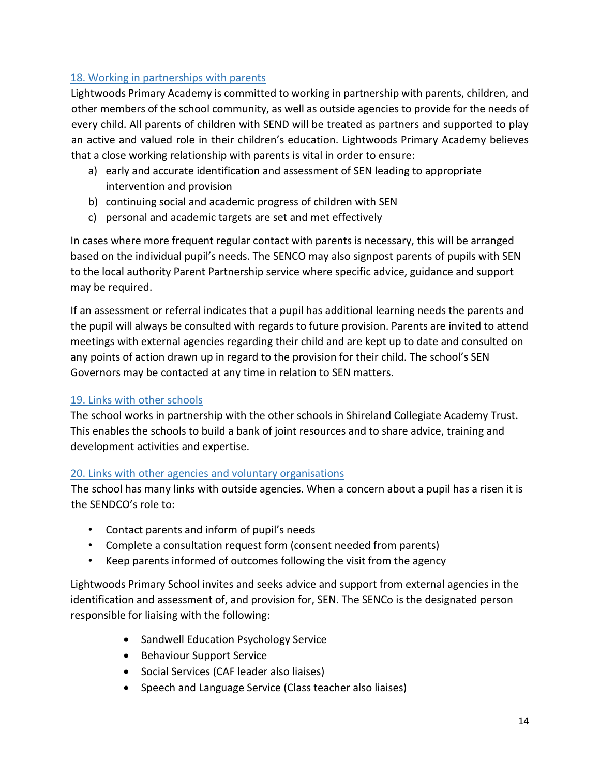# <span id="page-13-0"></span>18. Working in partnerships with parents

Lightwoods Primary Academy is committed to working in partnership with parents, children, and other members of the school community, as well as outside agencies to provide for the needs of every child. All parents of children with SEND will be treated as partners and supported to play an active and valued role in their children's education. Lightwoods Primary Academy believes that a close working relationship with parents is vital in order to ensure:

- a) early and accurate identification and assessment of SEN leading to appropriate intervention and provision
- b) continuing social and academic progress of children with SEN
- c) personal and academic targets are set and met effectively

In cases where more frequent regular contact with parents is necessary, this will be arranged based on the individual pupil's needs. The SENCO may also signpost parents of pupils with SEN to the local authority Parent Partnership service where specific advice, guidance and support may be required.

If an assessment or referral indicates that a pupil has additional learning needs the parents and the pupil will always be consulted with regards to future provision. Parents are invited to attend meetings with external agencies regarding their child and are kept up to date and consulted on any points of action drawn up in regard to the provision for their child. The school's SEN Governors may be contacted at any time in relation to SEN matters.

#### <span id="page-13-1"></span>19. Links with other schools

The school works in partnership with the other schools in Shireland Collegiate Academy Trust. This enables the schools to build a bank of joint resources and to share advice, training and development activities and expertise.

#### <span id="page-13-2"></span>20. Links with other agencies and voluntary organisations

The school has many links with outside agencies. When a concern about a pupil has a risen it is the SENDCO's role to:

- Contact parents and inform of pupil's needs
- Complete a consultation request form (consent needed from parents)
- Keep parents informed of outcomes following the visit from the agency

Lightwoods Primary School invites and seeks advice and support from external agencies in the identification and assessment of, and provision for, SEN. The SENCo is the designated person responsible for liaising with the following:

- Sandwell Education Psychology Service
- Behaviour Support Service
- Social Services (CAF leader also liaises)
- Speech and Language Service (Class teacher also liaises)